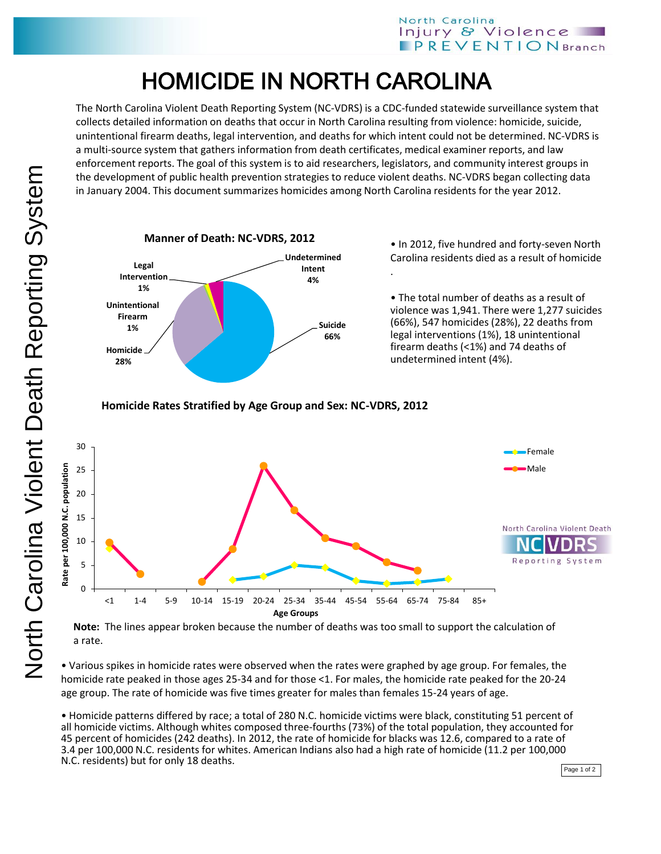## HOMICIDE IN NORTH CAROLINA

The North Carolina Violent Death Reporting System (NC-VDRS) is a CDC-funded statewide surveillance system that collects detailed information on deaths that occur in North Carolina resulting from violence: homicide, suicide, unintentional firearm deaths, legal intervention, and deaths for which intent could not be determined. NC-VDRS is a multi-source system that gathers information from death certificates, medical examiner reports, and law enforcement reports. The goal of this system is to aid researchers, legislators, and community interest groups in the development of public health prevention strategies to reduce violent deaths. NC-VDRS began collecting data in January 2004. This document summarizes homicides among North Carolina residents for the year 2012.



• In 2012, five hundred and forty-seven North Carolina residents died as a result of homicide .

• The total number of deaths as a result of violence was 1,941. There were 1,277 suicides (66%), 547 homicides (28%), 22 deaths from legal interventions (1%), 18 unintentional firearm deaths (<1%) and 74 deaths of undetermined intent (4%).

**Homicide Rates Stratified by Age Group and Sex: NC-VDRS, 2012**



**Note:** The lines appear broken because the number of deaths was too small to support the calculation of a rate.

• Various spikes in homicide rates were observed when the rates were graphed by age group. For females, the homicide rate peaked in those ages 25-34 and for those <1. For males, the homicide rate peaked for the 20-24 age group. The rate of homicide was five times greater for males than females 15-24 years of age.

• Homicide patterns differed by race; a total of 280 N.C. homicide victims were black, constituting 51 percent of all homicide victims. Although whites composed three-fourths (73%) of the total population, they accounted for 45 percent of homicides (242 deaths). In 2012, the rate of homicide for blacks was 12.6, compared to a rate of 3.4 per 100,000 N.C. residents for whites. American Indians also had a high rate of homicide (11.2 per 100,000 N.C. residents) but for only 18 deaths.